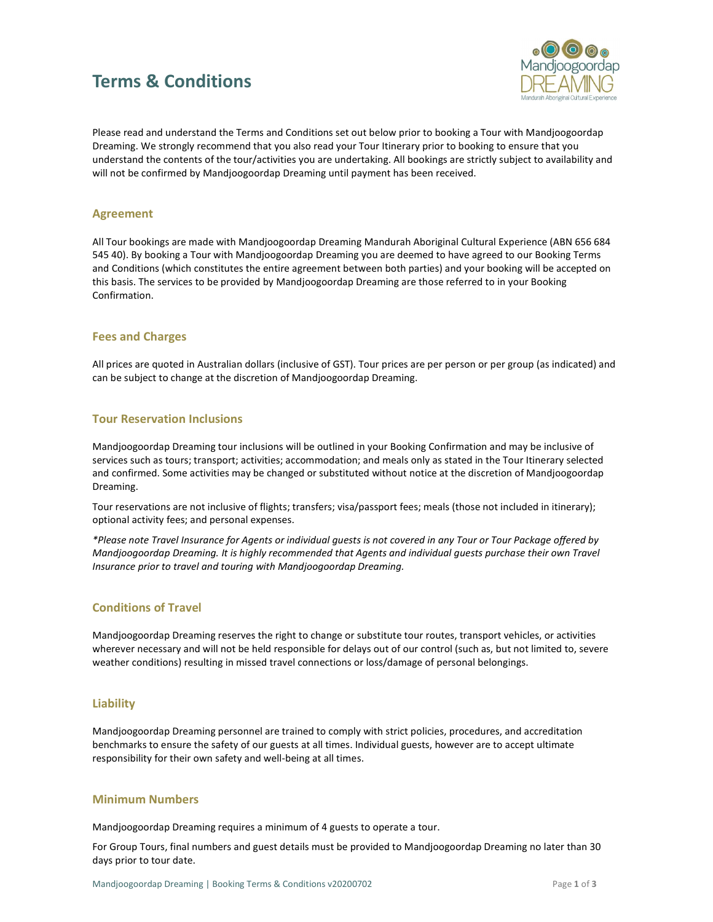# Terms & Conditions



Please read and understand the Terms and Conditions set out below prior to booking a Tour with Mandjoogoordap Dreaming. We strongly recommend that you also read your Tour Itinerary prior to booking to ensure that you understand the contents of the tour/activities you are undertaking. All bookings are strictly subject to availability and will not be confirmed by Mandjoogoordap Dreaming until payment has been received.

#### Agreement

All Tour bookings are made with Mandjoogoordap Dreaming Mandurah Aboriginal Cultural Experience (ABN 656 684 545 40). By booking a Tour with Mandjoogoordap Dreaming you are deemed to have agreed to our Booking Terms and Conditions (which constitutes the entire agreement between both parties) and your booking will be accepted on this basis. The services to be provided by Mandjoogoordap Dreaming are those referred to in your Booking Confirmation.

## Fees and Charges

All prices are quoted in Australian dollars (inclusive of GST). Tour prices are per person or per group (as indicated) and can be subject to change at the discretion of Mandjoogoordap Dreaming.

## Tour Reservation Inclusions

Mandjoogoordap Dreaming tour inclusions will be outlined in your Booking Confirmation and may be inclusive of services such as tours; transport; activities; accommodation; and meals only as stated in the Tour Itinerary selected and confirmed. Some activities may be changed or substituted without notice at the discretion of Mandjoogoordap Dreaming.

Tour reservations are not inclusive of flights; transfers; visa/passport fees; meals (those not included in itinerary); optional activity fees; and personal expenses.

\*Please note Travel Insurance for Agents or individual guests is not covered in any Tour or Tour Package offered by Mandjoogoordap Dreaming. It is highly recommended that Agents and individual guests purchase their own Travel Insurance prior to travel and touring with Mandjoogoordap Dreaming.

## Conditions of Travel

Mandjoogoordap Dreaming reserves the right to change or substitute tour routes, transport vehicles, or activities wherever necessary and will not be held responsible for delays out of our control (such as, but not limited to, severe weather conditions) resulting in missed travel connections or loss/damage of personal belongings.

## **Liability**

Mandjoogoordap Dreaming personnel are trained to comply with strict policies, procedures, and accreditation benchmarks to ensure the safety of our guests at all times. Individual guests, however are to accept ultimate responsibility for their own safety and well-being at all times.

#### Minimum Numbers

Mandjoogoordap Dreaming requires a minimum of 4 guests to operate a tour.

For Group Tours, final numbers and guest details must be provided to Mandjoogoordap Dreaming no later than 30 days prior to tour date.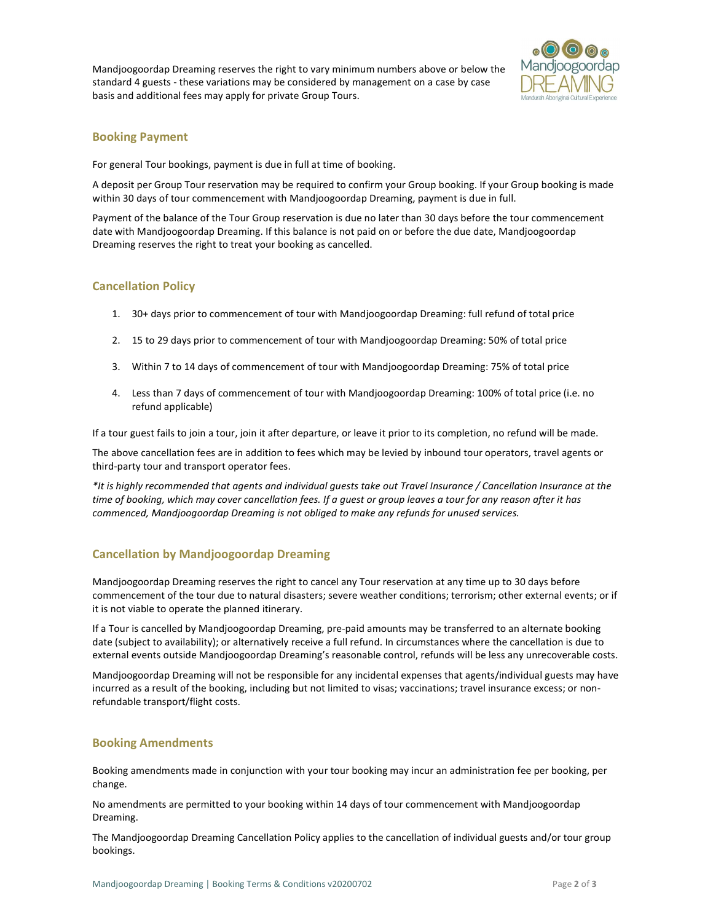Mandjoogoordap Dreaming reserves the right to vary minimum numbers above or below the standard 4 guests - these variations may be considered by management on a case by case basis and additional fees may apply for private Group Tours.



# Booking Payment

For general Tour bookings, payment is due in full at time of booking.

A deposit per Group Tour reservation may be required to confirm your Group booking. If your Group booking is made within 30 days of tour commencement with Mandjoogoordap Dreaming, payment is due in full.

Payment of the balance of the Tour Group reservation is due no later than 30 days before the tour commencement date with Mandjoogoordap Dreaming. If this balance is not paid on or before the due date, Mandjoogoordap Dreaming reserves the right to treat your booking as cancelled.

# Cancellation Policy

- 1. 30+ days prior to commencement of tour with Mandjoogoordap Dreaming: full refund of total price
- 2. 15 to 29 days prior to commencement of tour with Mandjoogoordap Dreaming: 50% of total price
- 3. Within 7 to 14 days of commencement of tour with Mandjoogoordap Dreaming: 75% of total price
- 4. Less than 7 days of commencement of tour with Mandjoogoordap Dreaming: 100% of total price (i.e. no refund applicable)

If a tour guest fails to join a tour, join it after departure, or leave it prior to its completion, no refund will be made.

The above cancellation fees are in addition to fees which may be levied by inbound tour operators, travel agents or third-party tour and transport operator fees.

\*It is highly recommended that agents and individual guests take out Travel Insurance / Cancellation Insurance at the time of booking, which may cover cancellation fees. If a guest or group leaves a tour for any reason after it has commenced, Mandjoogoordap Dreaming is not obliged to make any refunds for unused services.

# Cancellation by Mandjoogoordap Dreaming

Mandjoogoordap Dreaming reserves the right to cancel any Tour reservation at any time up to 30 days before commencement of the tour due to natural disasters; severe weather conditions; terrorism; other external events; or if it is not viable to operate the planned itinerary.

If a Tour is cancelled by Mandjoogoordap Dreaming, pre-paid amounts may be transferred to an alternate booking date (subject to availability); or alternatively receive a full refund. In circumstances where the cancellation is due to external events outside Mandjoogoordap Dreaming's reasonable control, refunds will be less any unrecoverable costs.

Mandjoogoordap Dreaming will not be responsible for any incidental expenses that agents/individual guests may have incurred as a result of the booking, including but not limited to visas; vaccinations; travel insurance excess; or nonrefundable transport/flight costs.

## Booking Amendments

Booking amendments made in conjunction with your tour booking may incur an administration fee per booking, per change.

No amendments are permitted to your booking within 14 days of tour commencement with Mandjoogoordap Dreaming.

The Mandjoogoordap Dreaming Cancellation Policy applies to the cancellation of individual guests and/or tour group bookings.